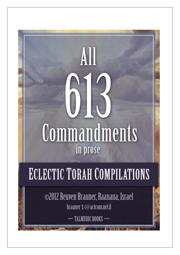# Commandments in prose

# **ECLECTIC TORAH COMPILATIONS**

@2012 Reuven Brauner, Raanana, Israel brauner 1 @actcom.net.il

 $-$  TALMUDIC BOOKS  $-$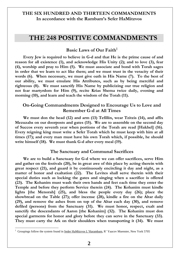# **THE 248 POSITIVE COMMANDMENTS**

# Basic Laws of Our Faith<sup>1</sup>

**Every Jew is required to believe in G-d and that He is the prime cause of and reason for all existence (1), and acknowledge His Unity (2); and to love (3), fear (4), worship and pray to Him (5). We must associate and bond with Torah sages in order that we learn to act like them; and we must trust in the veracity of their words (6). When necessary, we must give oath in His Name (7). To the best of our ability, we must emulate His Attributes, such as by being merciful and righteous (8). We must sanctify His Name by publicizing our true religion and not fear martyrdom for Him (9), recite Krias Shema twice daily, evening and morning (10), and learn and teach the wisdom of the Torah (11).**

#### **On-Going Commandments Designed to Encourage Us to Love and Remember G-d at All Times**

**We must don the head (12) and arm (13) Tefillin, wear Tzitzis (14), and affix Mezuzahs on our doorposts and gates (15). We are to assemble on the second day of Succos every seventh year when portions of the Torah are read [Hakhel] (16). Every reigning king must write a Sefer Torah which he must keep with him at all times (17); and every man must have his own Torah which, if possible, he should write himself (18). We must thank G-d after every meal (19).**

#### **The Sanctuary and Communal Sacrifices**

**We are to build a Sanctuary for G-d where we can offer sacrifices, serve Him and gather on the festivals (20), be in great awe of this place by acting therein with great respect (21), and guard it by continuously encircling it day and night, as a matter of honor and exaltation (22). The Levites shall serve therein with their special duties such as locking the gates and singing when a sacrifice is offered (23). The Kohanim must wash their own hands and feet each time they enter the Temple and before they perform Service therein (24). The Kohanim must kindle lights [the Menorah] (25), and bless the people every day (26); place the showbread on the Table (27); offer incense (28), kindle a fire on the Altar daily (29), and remove the ashes from on top of the Altar each day (30), and remove defiled (persons) from the Sanctuary (31). We must honor, respect, exalt and sanctify the descendants of Aaron [the Kohanim] (32). The Kohanim must don special garments for honor and glory before they can serve in the Sanctuary (33). They must carry the Ark on their shoulders when transporting it (34). We must** 

<sup>&</sup>lt;sup>1</sup> Groupings follow the system found in Seder HaMitzvos L'Harambam, R' Yaacov Muenster, New York 5705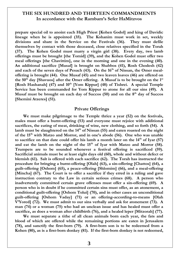**prepare special oil to anoint each High Priest [Kohen Godol] and king of Davidic lineage when he is appointed (35). The Kohanim must work in set, weekly divisions and share in the Service on the Festivals (36). They must defile themselves by contact with those deceased, close relatives specified in the Torah (37). The Kohen Godol must marry a virgin girl (38). Every day, two lamb offerings must be brought [the Tomid] (39), and the Kohen Godol must offer two meal offerings [the Chavittim], one in the morning and one in the evening (40). An additional sacrifice [Musaf] is brought on Shabbos (41), Rosh Chodesh (42) and each of the seven days of Pesach (43). On the 16th of Nissan, the Omer mealoffering is brought (44). One Musaf (45) and two leaven loaves (46) are offered on the 50th day [Shavuos] after the Omer offering. A Musaf is to be brought on the 1st [Rosh Hashanah] (47) and 10th [Yom Kippur] (48) of Tishrei. A special Temple Service has been commanded for Yom Kippur to atone for all our sins (49). A Musaf must be brought on each day of Succos (50) and on the 8th day of Succos [Shemini Atzeres] (51).**

#### **Private Offerings**

**We must make pilgrimage to the Temple thrice a year (52) on the festivals, males must offer a burnt-offering (53) and everyone must rejoice with additional sacrifices, the eating of meat, drinking of wine, new clothing, and so forth (54). A lamb must be slaughtered on the 14th of Nissan (55) and eaten roasted on the night of the 15th with Matzo and Morror, and in one's abode (56). One who was unable to sacrifice on that date could offer his lamb a month later on the 14th of Iyar (57) and eat the lamb on the night of the 15th of Iyar with Matzo and Morror (58). Trumpets are to be sounded whenever a festival offering is sacrificed (59). Sacrificial animals must be at least eight days old (60), whole and without defect or blemish (61). Salt is offered with each sacrifice (62). The Torah has instructed the procedure for bringing a burnt-offering [Olah] (63), a sin-offering [Chattos] (64), a guilt-offering [Oshom] (65), a peace-offering [Shlomim] (66), and a meal-offering [Mincha] (67). The Court is to offer a sacrifice if they erred in a ruling and gave instruction contrary to the Law in certain serious crimes (68). A person who inadvertently committed certain grave offenses must offer a sin-offering (69). A person who is in doubt if he committed certain sins must offer, as an atonement, a conditional guilt-offering [Oshom Tolui] (70), and in other cases an unconditional guilt-offering [Oshom Vaday] (71) or an offering-according-to-means [Olah V'Yored] (72). We must admit to our sins verbally and ask for atonement (73). A man (74) or a woman (75) who had an unclean issue and has healed must offer a sacrifice, as does a woman after childbirth (76), and a healed leper [Mitzorah] (77).** 

**We must separate a tithe of all clean animals born each year, the fats and blood of which are offered while the remaining portions are eaten in Jerusalem (78), and sanctify the first-born (79). A first-born son is to be redeemed from a Kohen (80), as is a first-born donkey (81). If the first-born donkey is not redeemed,**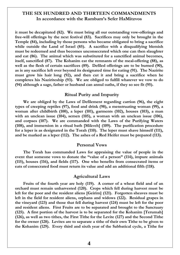**it must be decapitated (82). We must bring all our outstanding vow-offerings and free-will offerings by the next festival (83). Sacrifices may only be brought in the Temple (84), including by those persons who became obligated to bring a sacrifice while outside the Land of Israel (85). A sacrifice with a disqualifying blemish must be redeemed and thus becomes unconsecrated which one can then slaughter and eat (86). The animal which was substituted for a sanctified animal becomes, itself, sanctified (87). The Kohanim eat the remnants of the meal-offering (88), as well as the flesh of certain sacrifices (89). Defiled offerings are to be burned (90), as is any sacrifice left over beyond its designated time for eating (91). The Nazirite must grow his hair long (92), and then cut it and bring a sacrifice when he completes his Naziriteship (93). We are obliged to fulfill whatever we vow to do (94) although a sage, father or husband can annul oaths, if they so see fit (95).**

#### **Ritual Purity and Impurity**

**We are obliged by the Laws of Defilement regarding carrion (96), the eight types of creeping reptiles (97), food and drink (98), a menstruating woman (99), a woman after childbirth (100), a leper (101), garments (102), houses (103), a man with an unclean issue (104), semen (105), a woman with an unclean issue (106), and corpses (107). We are commanded with the Laws of the Purifying Waters (108), and immersion in a ritual bath [Mikveh] (109). The purification procedure for a leper is as designated in the Torah (110). The leper must shave himself (111), and be marked as a leper (112). The ashes of a Red Heifer must be prepared (113).**

#### **Personal Vows**

**The Torah has commanded Laws for appraising the value of people in the event that someone vows to donate the "value of a person" (114), impure animals (115), houses (116), and fields (117). One who benefits from consecrated items or eats of consecrated food must return its value and add an additional fifth (118).**

#### **Agricultural Laws**

**Fruits of the fourth year are holy (119). A corner of a wheat field and of an orchard must remain unharvested (120). Crops which fell during harvest must be left for the poor and the resident aliens [Geirim] (121). Forgotten sheaves must be left in the field for resident aliens, orphans and widows (122). Residual grapes in the vineyard (123) and those that fell during harvest (124) must be left for the poor and resident aliens. First Fruits are to be separated and brought to the Sanctuary (125). A first portion of the harvest is to be separated for the Kohanim [Terumah] (126), as well as two tithes, the First Tithe for the Levite (127) and the Second Tithe for the owner (128). Levites are to separate a tithe of their own Tithe to be given to the Kohanim (129). Every third and sixth year of the Sabbatical cycle, a Tithe for**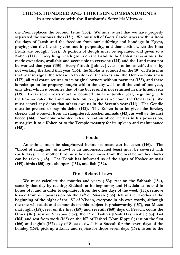**the Poor replaces the Second Tithe (130). We must attest that we have properly separated the various tithes (131). We must tell of G-d's Graciousness with us from the days of Jacob and the freedom from our suffering and bondage in Egypt, praying that the blessing continue in perpetuity, and thank Him when the First Fruits are brought (132). A portion of dough must be separated and given to a Kohen (133). Everything which grows on the Land in the Sabbatical year must be made ownerless, available and accessible to everyone (134) and the Land must not be worked that year (135). Every fiftieth [Jubilee] year is to be sanctified also by not working the Land that year (136), the Shofar is sounded on the 10th of Tishrei in that year to signal the release to freedom of the slaves and the Hebrew bondsmen (137), all real estate returns to its original owners without payment (138), and there is redemption for property bought within the city walls until the end of one year, only after which it becomes that of the buyer and is not returned in the fiftieth year (139). Every seven years must be counted until the Jubilee year, beginning with the time we ruled the Land and held on to it, just as we count the Omer (140). We must cancel any debts that others owe us in the Seventh year (141). The Gentile must be pressed to pay his debts (142). The Kohen is to be given the foreleg, cheeks and stomach from all slaughtered, Kosher animals (143), as well as the first fleece (144). Someone who dedicates to G-d an object he has in his possession, must give it to a Kohen or to the Temple treasury for its upkeep and maintenance (145).**

#### **Foods**

**An animal must be slaughtered before its meat can be eaten (146). The "blood of slaughter" of a fowl or an undomesticated beast must be covered with earth (147). The mother bird must be driven away from the nest before her chicks can be taken (148). The Torah has informed us of the signs of Kosher animals (149), birds (150), grasshoppers (151), and fish (152).**

#### **Time-Related Laws**

**We must calculate the months and years (153); rest on the Sabbath (154), sanctify that day by reciting Kiddush at its beginning and Havdala at its end in honor of it and in order to separate it from the other days of the week (155); remove leaven from our possession on the 14th of Nissan (156), tell of the Exodus at the beginning of the night of the 15th of Nissan, everyone in his own words, although the one who adds and expounds on this subject is praiseworthy (157), eat Matzo that night (158), rest on the first (159) and seventh (160) days of Pesach; count the**  Omer (161); rest on Shavuos (162), the 1<sup>st</sup> of Tishrei [Rosh Hashanah] (163); fast **(164) and rest from work (165) on the 10th of Tishrei [Yom Kippur]; rest on the first (166) and eighth (167) day of Succos, dwell in a Succah for the seven days of the holiday (168), pick up a Lulav and rejoice for those seven days (169); listen to the**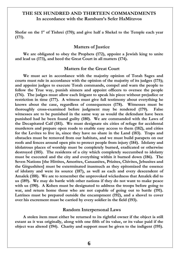**Shofar on the 1st of Tishrei (170); and give half a Shekel to the Temple each year (171).**

#### **Matters of Justice**

**We are obligated to obey the Prophets (172), appoint a Jewish king to unite and lead us (173), and heed the Great Court in all matters (174).**

#### **Matters for the Great Court**

**We must act in accordance with the majority opinion of Torah Sages and courts must rule in accordance with the opinion of the majority of its judges (175); and appoint judges to execute Torah commands, compel and warn the people to follow the True way, punish sinners and appoint officers to oversee the people (176). The judges must allow each litigant to speak his piece without prejudice or restriction in time (177). A witness must give full testimony about everything he knows about the case, regardless of consequences (178). Witnesses must be thoroughly cross-examined before judgment may be rendered (179). False witnesses are to be punished in the same way as would the defendant have been punished had he been found guilty (180). We are commanded with the Laws of the Decapitated Calf (181). We must designate six cities of refuge for accidental murderers and prepare open roads to enable easy access to them (182), and cities for the Levites to live in, since they have no share in the Land (183). Traps and obstacles must be removed from our habitats, and we must build parapets on our roofs and fences around open pits to protect people from injury (184). Idolatry and idolatrous places of worship must be completely burned, eradicated or otherwise destroyed (185). The residents of a city which completely succumbed to idolatry must be executed and the city and everything within it burned down (186). The Seven Nations [the Hittites, Amorites, Canaanites, Prizites, Chivites, Jebusites and the Girgushites] must be exterminated inasmuch as they epitomized the essence of idolatry and were its source (187), as well as each and every descendent of Amalek (188). We are to remember the unprovoked wickedness that Amalek did to us (189). We may do battle with other nations if they do not want to make peace with us (190). A Kohen must be designated to address the troops before going to war, and return home those who are not capable of going out to battle (191). Latrines must be prepared outside the encampment (192), and a shovel to cover over his excrement must be carried by every soldier in the field (193).**

#### **Random Interpersonal Laws**

**A stolen item must either be returned to its rightful owner if the object is still extant as it was originally, along with one fifth of its value, or its value paid if the object was altered (194). Charity and support must be given to the indigent (195).**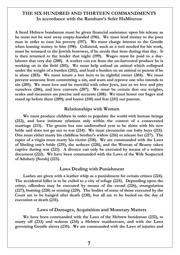**A freed Hebrew bondsman must be given financial assistance upon his release as he must not be sent away empty-handed (196). We must lend money to the poor man in order to ease his poverty (197). We must charge interest to the Gentile when loaning money to him (198). Collateral, such as a tool needed for his work, must be returned to the Jewish borrower, if he needs that item during that day. It is then returned to the lender that night (199). Wages must be paid to a daylaborer that very day (200). A worker can eat from the un-harvested produce he is working on in the field (201). We must help unload an animal which collapsed under the weight of a burden (202), and load a burden on an animal or person if he is alone (203). We must return a lost item to its rightful owner (204). We must prevent someone from committing a sin, and warn and reprove one who intends to sin (205). We must love and be merciful with other Jews, just as we love and pity ourselves (206), and love converts (207). We must be certain that our weights, scales and measures are precise and accurate (208). We must honor our Sages and stand up before them (209); and honor (210) and fear (211) our parents.**

#### **Relationships with Women**

**We must produce children in order to populate the world with human beings (212), and have intimate relations only within the context of a consecrated marriage (213). The groom has one undisturbed year to be alone with his new bride and does not go out to war (214). We must circumcise our baby boys (215). One must either marry his childless brother's widow (216) or release her (217). The rapist of a virgin must marry his victim (218). We are commanded with the Laws of libeling one's bride (219), the seducer (220), and the Woman of Beauty taken captive during war (221). A divorce can only be executed by means of a written document (222). We have been commanded with the Laws of the Wife Suspected of Adultery [Sotah] (223).**

#### **Laws Dealing with Punishment**

**Lashes are given with a leather whip as a punishment for certain crimes (224). The accidental killer is to be exiled to a city of refuge (225). Depending upon the crime, offenders may be executed by means of the sword (226), strangulation (227), burning (228) or stoning (229). The bodies of some of those executed by the Court are to be hanged after death (230), but all are to be buried on the day of execution or death (231).**

#### **Laws of Damages, Acquisition and Monetary Matters**

**We have been commanded with the Laws of the Hebrew bondsman (232), to marry off (233) and redeem (234) a Hebrew maidservant, and with the Laws governing Gentile slaves (235). We are commanded with the Laws of injuries and**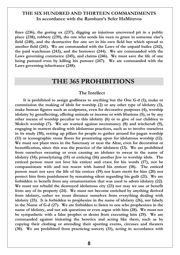**fines (236), the goring ox (237), digging an injurious uncovered pit in a public place (238), robbery (239), the one who sends his oxen to graze in someone else's field (240), and the destructive fire one set in his own field but which spread to another field (241). We are commanded with the Laws of the unpaid bailee (242), the paid watchman (243), and the borrower (244). We are commanded with the Laws governing commerce (245), and claims (246). We must save the life of one being pursued even by killing his pursuer (247). We are commanded with the Laws governing inheritance (248).**

# **THE 365 PROHIBITIONS**

#### **The Intellect**

**It is prohibited to assign godliness to anything but the One G-d (1), make or commission the making of idols for worship (2) or any other type of idolatry (3), make human figures such as sculptures, even for decorative purposes (4), worship idolatry by genuflecting, offering animals or incense or with libations (5), or by any other means of worship peculiar to this idolatry (6) or to give of our children to Molech worship (7). We are warned against necromancy (8) and witchcraft (9), engaging in matters dealing with idolatrous practices, such as to involve ourselves in its study (10), setting up pillars for people to gather around for pagan worship (11) or iconographic stone floors for prostrating upon for idolatrous worship (12). We must not plant trees in the Sanctuary or near the Altar, even for decoration or beautification, since this was the practice of the idolaters (13). We are prohibited from ourselves swearing or even causing an idolater to swear in the name of idolatry (14); proselytizing (15) or enticing (16) another Jew to worship idols. The enticed person must not love his enticer and crave for his words (17), nor be compassionate with and not resent with hatred his enticer (18). The enticed person must not save the life of his enticer (19) nor learn merit for him (20) nor protect him from punishment by remaining silent regarding his guilt (21). We are forbidden to benefit from any ornamentation that was used to adorn idolatry (22). We must not rebuild the destroyed idolatrous city (23) nor may we use or benefit from any of its property (24). We must not become enriched by anything derived from idolatry, rather we must distance ourselves from everything dealing with idolatry (25). It is forbidden to prophesize in the name of idolatry (26), nor falsely in the Name of G-d (27). We are forbidden to listen to one who prophesizes in the name of idolatry, and not ask questions or even argue with him (28). We must not be sympathetic with a false prophet or desist from executing him (29). We are commanded against imitating the heretics and acting like them, such as by copying their clothing or attending their sporting events, circuses and theaters (30). We are prohibited from practicing sorcery (31), acting in accordance with**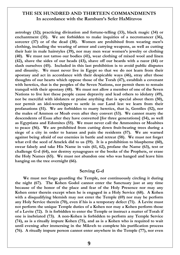**astrology (32); practicing divination and fortune-telling (33), black magic (34) or enchantment (35). We are forbidden to make inquiries of a necromancer (36), sorcerer (37) or of the dead (38). Women are prohibited from wearing men's clothing, including the wearing of armor and carrying weapons, as well as cutting their hair in male hairstyles (39), nor may men wear women's jewelry or clothing (40). We must not tattoo our bodies (41), wear clothing of mixed wool and linen (42), shave the sides of our heads (43), shave off our beards with a razor (44) or slash ourselves (45). Included in this last prohibition is to avoid public disputes and disunity. We must never live in Egypt so that we do not learn from their apostasy and act in accordance with their despicable ways (46), stray after those thoughts of our hearts which oppose those of the Torah (47), establish a covenant with heretics, that is the peoples of the Seven Nations, nor permit them to remain tranquil with their apostasy (48). We must not allow a member of one of the Seven Nations to live lest these people cause depravity and lead others to idolatry (49), nor be merciful with idolaters or praise anything that is special about them (50), nor permit an idol-worshipper to settle in our Land lest we learn from their profanations (51). We are forbidden to marry heretics, that is, Gentiles (52), nor the males of Ammon or Moab even after they convert (53). We cannot marry the descendents of Esau after they have converted [for three generations] (54), as well as Egyptians and Edomites (55). We must never call the Ammonites or Moabites to peace (56). We are prohibited from cutting down fruit-bearing trees during a siege of a city in order to harass and pain the residents (57). We are warned against being afraid of our enemies in battle and retreat (58). We must not forget what evil the seed of Amelek did to us (59). It is a prohibition to blaspheme (60), swear falsely and take His Name in vain (61, 62), profane the Name (63), test or challenge G-d (64), nor destroy synagogues or the books of the Prophets, or erase the Holy Names (65). We must not abandon one who was hanged and leave him hanging on the tree overnight (66).**

#### **Serving G-d**

**We must not forgo guarding the Temple, nor continuously circling it during the night (67). The Kohen Godol cannot enter the Sanctuary just at any time because of the honor of the place and fear of the Holy Presence nor may any Kohen enter therein except when he is engaged in a Holy Service (68). A Kohen with a disqualifying blemish may not enter the Temple (69) nor may he perform any Holy Service therein (70), even if his is a temporary defect (71). A Levite must not perform the unique Temple duties of a Kohen nor may a Kohen perform those of a Levite (72). It is forbidden to enter the Temple or instruct a matter of Torah if one is inebriated (73). A non-Kohen is forbidden to perform any Temple Service (74), as is a ritually impure Kohen (75), and as is a Kohen who is required to wait until evening after immersing in the Mikveh to complete his purification process (76). A ritually impure person cannot enter anywhere in the Temple (77), nor even**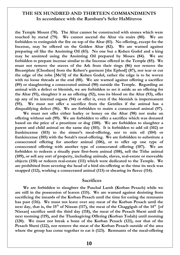**the Temple Mount (78). The Altar cannot be constructed with stones which were touched by metal (79). We cannot ascend the Altar via stairs (80). We are forbidden to extinguish the fire on top of the Altar (81). No offering, except for the Incense, may be offered on the Golden Altar (82). We are warned against preparing oil like the Anointing Oil (83). No one but a Kohen Godol and a king may be anointed using the Anointing Oil prepared by Moses (84). We are forbidden to prepare incense similar to the Incense offered in the Temple (85). We must not remove the staves of the Ark from their rings (86) nor remove the Breastplate [Choshen] from the Kohen's garment [the Ephod] (87), nor tear or cut the edge of the robe [Me'il] of the Kohen Godol, rather the edge is to be woven with no loose threads at the end (88). We are warned against offering a sacrifice (89) or slaughtering a consecrated animal (90) outside the Temple. Regarding an animal with a defect or blemish, we are forbidden to set it aside as an offering for the Altar (91), slaughter it as an offering (92), toss its blood on the Altar (93), offer up any of its internal organs (94) or offer it, even if the blemish is impermanent (95). We must not offer a sacrifice from the Gentiles if the animal has a disqualifying defect (96). We are forbidden to maim a consecrated animal (97).** 

**We must not offer either barley or honey on the Altar (98) nor make an offering without salt (99). We are forbidden to offer a sacrifice which was donated based on the price of a prostitute or dog (100). We are forbidden to slaughter a parent and child animal on the same day (101). It is forbidden to add oil (102) or frankincense (103) to the sinner's meal-offering, nor to mix oil (104) or frankincense (105) with the Sotah's meal-offering. We are forbidden to substitute a consecrated offering for another animal (106), or to offer up one type of consecrated offering with another type of consecrated offering (107). We are forbidden to redeem a ritually pure first-born animal (108), sell the Tithe animal (109), or sell any sort of property, including animals, slaves, real-estate or moveable objects (110) or redeem real-estate (111) which were dedicated to the Temple. We are prohibited from severing the head of a bird sin-offering at the time its neck was snapped (112), working a consecrated animal (113) or shearing its fleece (114).**

#### **Sacrifices**

**We are forbidden to slaughter the Paschal Lamb (Korban Pesach) while we are still in the possession of leaven (115). We are warned against desisting from sacrificing the innards of the Korban Pesach until the time for eating the remnants has past (116). We must not leave over any meat of the Korban Pesach until the next day, that is, the 15th of Nissan (117), the meat of the Chaggigah of the 14th [of Nissan] sacrifice until the third day (118), the meat of the Pesach Sheni until the next morning (119), and the Thanksgiving Offering (Korban Todah) until morning (120). We must not break a bone of the Korban Pesach (121), nor that of the Pesach Sheni (122), nor remove the meat of the Korban Pesach outside of the area where the group has come together to eat it (123). Remnants of the meal-offering**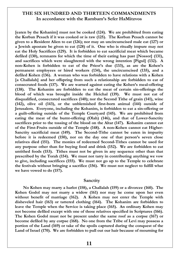**[eaten by the Kohanim] must not be cooked (124). We are prohibited from eating the Korban Pesach if it was cooked or is raw (125). The Korban Pesach cannot be given to a Resident Alien to eat (126); nor may an uncircumcised male eat (127) or a Jewish apostate be given to eat (128) of it. One who is ritually impure may not eat the Holy Sacrifices (129). It is forbidden to eat sacrificial meat which became defiled (130), remnants for which the time of their eating has past [Nossor] (131), and sacrifices which were slaughtered with the wrong intention [Pigul] (132). A non-Kohen is forbidden to eat of the Priest's due (133), as are the Kohen's permanent employees or hired workers (134), the uncircumcised (135), and a defiled Kohen (136). A woman who was forbidden to have relations with a Kohen [a Challalah] and her offspring from such a relationship are forbidden to eat of consecrated foods (137). We are warned against eating the Kohen's meal-offering (138). The Kohanim are forbidden to eat the meat of certain sin-offerings the blood of which was brought inside the Heichal (139). We must not eat of disqualified, consecrated sacrifices (140); nor the Second Tithe of grain (141), wine (142), olive oil (143), or the unblemished first-born animal (144) outside of Jerusalem. Everyone, including the Kohanim, is forbidden to eat a sin-offering or a guilt-offering outside of the Temple Courtyard (145). We are prohibited from eating the meat of the burnt-offering (Olah) (146), and that of Lower-Sanctity sacrifices prior to the tossing of the blood on the Altar (147). Kohanim cannot eat of the First-Fruits outside of the Temple (148). A non-Kohen cannot eat Higher-Sanctity sacrificial meat (149). The Second-Tithe cannot be eaten in impurity before it is redeemed (150), nor on the day one of that person's seven close relatives died (151). The monies of redeemed Second-Tithes cannot be used for any purpose other than for buying food and drink (152). We are forbidden to eat untithed foods (153). Tithes must not be given in any sequence other than that prescribed by the Torah (154). We must not tarry in contributing anything we vow to give, including sacrifices (155). We must not go up to the Temple to celebrate the festivals without bringing a sacrifice (156). We must not neglect to fulfill what we have vowed to do (157).**

#### **Sanctity**

**No Kohen may marry a harlot (158), a Challalah (159) or a divorcee (160). The Kohen Godol may not marry a widow (161) nor may he come upon her even without benefit of marriage (162). A Kohen may not enter the Temple with disheveled hair (163) or tattered clothing (164). The Kohanim are forbidden to leave the Temple when the Service is taking place (165). An ordinary Kohen may not become defiled except with one of those relatives specified in Scriptures (166). The Kohen Godol must not be present under the same roof as a corpse (167) or become defiled by any corpse (168). No one from the Tribe of Levi may possess a portion of the Land (169) or take of the spoils captured during the conquest of the Land of Israel (170). We are forbidden to pull out our hair because of mourning for**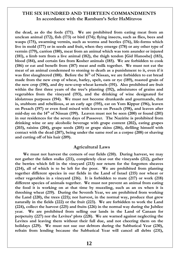**the dead, as do the fools (171). We are prohibited from eating meat from an unclean animal (172), fish (173) or bird (174); flying insects, such as flies, bees and wasps (175), swarming vermin, such as worms and beetles (176), life-forms which live in mold (177) or in seeds and fruit, when they emerge (178) or any other type of vermin (179), carrion (180), meat from an animal which was torn asunder or injured (181), a limb torn from a live animal (182), the thigh tendon [Gid Hanoshe] (183), blood (184), and certain fats from Kosher animals (185). We are forbidden to cook (186) or eat and benefit from (187) meat and milk together. We must not eat the meat of an animal condemned to stoning to death as a punishment to it, even if it was first slaughtered (188). Before the 16th of Nissan, we are forbidden to eat bread made from the new crop of wheat, barley, spelt, oats or rye (189), roasted grain of the new crop (190), and dry new-crop wheat kernels (191). Also prohibited are fruit within the first three years of the tree's planting (192), admixtures of grains and vegetables from the vineyard (193), and the drinking of wine designated for idolatrous purposes (194). We must not become drunkards and gourmands, that is, stubborn and rebellious, at an early age (195), eat on Yom Kippur (196), leaven on Pesach (197) or even food mixed with leaven on Pesach (198), and leaven after mid-day on the 14th of Nissan (199). Leaven must not be seen (200) or found (201) in our residences for the seven days of Passover. The Nazirite is prohibited from drinking wine or any alcoholic beverage with grape content (202), eating grapes (203), raisins (204), grape seeds (205) or grape skins (206), defiling himself with contact with the dead (207), being under the same roof as a corpse (208) or shaving and cutting off of his hair (209).**

#### **Agricultural Laws**

**We must not harvest the corners of our fields (210). During harvest, we may not gather the fallen stalks (211), completely clear out the vineyards (212), gather the berries which fell in the vineyard (213) nor return for the forgotten sheaves (214), all of which is to be left for the poor. We are prohibited from planting together different species in our fields in the Land of Israel (215) nor wheat or other vegetables in a vineyard (216). It is forbidden to mate (217) or work (218) different species of animals together. We must not prevent an animal from eating the food it is working on at that time by muzzling, such as an ox when it is threshing wheat (219). During the Seventh Year, we are prohibited from working the Land (220), the trees (221); nor harvest, in the normal way, produce that grew naturally in the fields (222) or the fruit (223). We are forbidden to work the Land (224), collect the harvest (225) and fruits (226) in the normal way during the Jubilee year. We are prohibited from selling our lands in the Land of Canaan for perpetuity (227) nor the Levites' plots (228). We are warned against neglecting the Levites and leaving them without their full due, and not cheering them on the holidays (229). We must not sue our debtors during the Sabbatical Year (230), refrain from lending because the Sabbatical Year will cancel all debts (231),**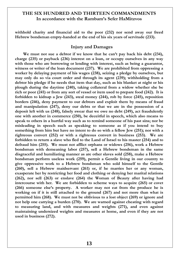**withhold charity and financial aid to the poor (232) nor send away our freed Hebrew bondsman empty-handed at the end of his six years of servitude (233).**

#### **Injury and Damages**

**We must not sue a debtor if we know that he can't pay back his debt (234), charge (235) or payback (236) interest on a loan, or occupy ourselves in any way with those who are borrowing or lending with interest, such as being a guarantor, witness or writer of the loan document (237). We are prohibited from oppressing a worker by delaying payment of his wages (238), seizing a pledge by ourselves, but may only do so via court order and through its agent (239); withholding from a debtor his pledge if he needs that item that day, such as his blanket at night or his plough during the daytime (240), taking collateral from a widow whether she be rich or poor (241) or from any sort of vessel or item used to prepare food (242). It is forbidden to kidnap a Jew (243), steal money (244), rob by force (245), reposition borders (246), deny payment to our debtors and exploit them by means of fraud and manipulation (247), deny our debts or that we are in the possession of a deposit left with us (248), falsely swear that we owe no debt (249), act fraudulently one with another in commerce (250), be deceitful in speech, which also means to speak to others in a hurtful way such as to remind someone of his past sins; nor be misleading in speech such as speaking to someone as if you intend to buy something from him but have no intent to do so with a fellow Jew (251); nor with a righteous convert (252) or with a righteous convert in business (253). We are forbidden to return a slave who fled to the Land of Israel to his master (254) and to defraud him (255). We must not afflict orphans or widows (256), work a Hebrew bondsman with demeaning labor (257), sell a Hebrew bondsman in the same disgraceful and humiliating manner as are other slaves sold (258), make a Hebrew bondsman perform useless work (259), permit a Gentile living in our country to give oppressive work to a Hebrew bondsman who sold himself to the Gentile (260), sell a Hebrew maidservant (261) or, if he marries her or any woman, exasperate her by restricting her food and clothing or denying her marital relations (262), nor sell (263) or enslave (264) the Woman of Beauty after having had intercourse with her. We are forbidden to scheme ways to acquire (265) or covet (266) someone else's property. A worker may not eat from the produce he is working on if it is still attached to the ground (267) and not more than what is permitted him (268). We must not be oblivious to a lost object (269) or ignore and not help one carrying a burden (270). We are warned against cheating with regard to measuring land, and with measures and weights (271), and even against maintaining undersized weights and measures at home, and even if they are not used in business (272).**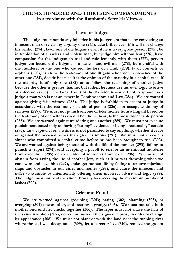#### **Laws for Judges**

**The judge must not do any injustice in his judgement that is, by convicting an innocent man or releasing a guilty one (273), take bribes even if it will not change his verdict (274), favor one of the litigants even if he is a very great person (275), be in trepidation of a lawless and violent man, but judge him without fear (276), have compassion for the indigent in trial and rule leniently with them (277), pervert judgement because the litigant is a lawless and evil man (278), be merciful with the murderer or the one who caused the loss of a limb (279), favor converts or orphans (280), listen to the testimony of one litigant when not in presence of the other one (281), decide because it is the opinion of the majority in a capital case, if the majority is of only one (282) or to follow the reasoning of another judge because the other is greater than he, but rather, he must use his own logic to arrive at a decision (283). The Great Court or the Exilarch is warned not to appoint as a judge a man who is not an expert in Torah wisdom and Law (284). We are warned against giving false witness (285). The judge is forbidden to accept or judge in accordance with the testimony of a sinful person (286), nor accept testimony of relatives (287). We must not punish anyone or take money from a litigant based on the testimony of one witness even if he, the witness, is the most impeccable person (288). We are warned against murdering one another (289). We must not execute punishment based only on having "strong" evidence or being "reasonably" certain (290). In a capital case, a witness is not permitted to say anything, whether it is for or against the accused, other than give testimony (291). We must not execute a sinner who committed a capital crime before he has been brought to trial (292). We are warned against being merciful with the life of the pursuer (293), failing to punish a rapist (294), and accepting a payoff to release an intentional murderer from execution (295) or an accidental murderer from exile (296). We must not abstain from saving the life of another Jew, such as if he was drowning when we can swim and save him (297), endanger human life by failing to remove injurious traps and obstacles in our cities and homes (298), and cause the innocent and naïve to stumble by intentionally offering them incorrect advise and logic (299). The judge must not beat the sinner brutally by exceeding the maximum number of lashes (300).**

#### **Grief and Fraud**

**We are warned against gossiping (301); hating (302), shaming (303), or avenging (304) one another, and bearing a grudge (305). We must not take both mother bird and her chicks together (306). The leper must not shave the hair of the skin disruption (307), nor cut or burn off the signs of leprosy in order to change its appearance (308). We must not plant or work the land near the running river where the calf was decapitated (309), let a sorcerer live (310), remove the groom**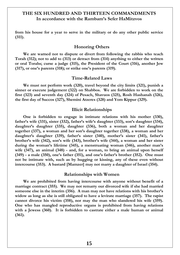**from his house for a year to serve in the military or do any other public service (311).**

#### **Honoring Others**

**We are warned not to dispute or divert from following the rabbis who teach Torah (312); not to add to (313) or detract from (314) anything to either the written or oral Torahs; curse a judge (315), the President of the Court (316), another Jew (317), or one's parents (318); or strike one's parents (319).**

#### **Time-Related Laws**

**We must not perform work (320), travel beyond the city limits (321), punish a sinner or execute judgement (322) on Shabbos. We are forbidden to work on the first (323) and seventh day (324) of Pesach, Shavuos (325), Rosh Hashanah (326), the first day of Succos (327), Shemini Atzeres (328) and Yom Kippur (329).**

#### **Illicit Relationships**

**One is forbidden to engage in intimate relations with his mother (330), father's wife (331), sister (332), father's wife's daughter (333), son's daughter (334), daughter's daughter (335), daughter (336), both a woman and her daughter together (337), a woman and her son's daughter together (338), a woman and her daughter's daughter (339), father's sister (340), mother's sister (341), father's brother's wife (342), son's wife (343), brother's wife (344), a woman and her sister during the woman's lifetime (345), a menstruating woman (346), another man's wife (347), an animal (348) - and, for a woman, to bring an animal upon herself (349) - a male (350), one's father (351), and one's father's brother (352). One must not be intimate with, such as by hugging or kissing, any of these even without intercourse (353). A bastard [Mamzer] may not marry a daughter of Israel (354).**

#### **Relationships with Women**

**We are prohibited from having intercourse with anyone without benefit of a marriage contract (355). We may not remarry our divorced wife if she had married someone else in the interim (356). A man may not have relations with his brother's widow as long as she is still obligated to have a levirate marriage (357). The rapist cannot divorce his victim (358), nor may the man who slandered his wife (359). One who has mangled reproductive organs is prohibited from having relations with a Jewess (360). It is forbidden to castrate either a male human or animal (361).**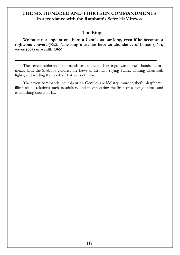# **The King**

**We must not appoint one born a Gentile as our king, even if he becomes a righteous convert (362). The king must not have an abundance of horses (363), wives (364) or wealth (365).**

The seven rabbinical commands are to recite blessings, wash one's hands before meals, light the Shabbos candles, the Laws of Eruvim, saying Hallel, lighting Chanukah lights, and reading the Book of Esther on Purim.

The seven commands incumbent on Gentiles are idolatry, murder, theft, blasphemy, illicit sexual relations such as adultery and incest, eating the limb of a living animal and establishing courts of law.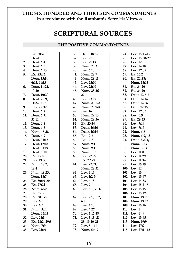# **SCRIPTURAL SOURCES**

#### **THE POSITIVE COMMANDMENTS**

| 1.         | Ex. 20:2,              |
|------------|------------------------|
|            | Deut. 5:6              |
| 2.         | Deut. 6:4              |
| 3.         | Deut. 6:5              |
| 4.         | Deut. 6:13             |
| 5.         | Ex. 23:25,             |
|            | Deut. 13;5,            |
|            | 6:13, 11:13            |
| 6.         | Deut. 11:22,           |
|            | 10:20                  |
| 7.         | Deut. 10:20            |
| 8.         | Deut. 28:9,            |
|            | 11:22, 13:5            |
| 9.         | Lev. 22:32             |
| 10.        | Deut. 6:7              |
| 11.        | Deut. 6:7,             |
|            | 31:12                  |
| 12.        | Deut. 6:8              |
|            | 13. Deut. 6:8          |
|            | 14. Num. 15:38         |
| 15.        | Deut. 6:9              |
| 16.        | Deut. 31:12            |
|            | 17. Deut. 17:18        |
|            | 18. Deut. 31:19        |
| 19.        | Deut. 8:10             |
| 20.        | Ex. 25:8               |
| 21.        | Lev. 19:30             |
| 22.        | Num. 18:2,             |
|            | 18:4                   |
| 23.        | Num. 18:23,            |
|            | Deut. 18:7             |
| 24.        | Ex. 30:19-20           |
| 25.<br>26. | Ex. 27:21<br>Num. 6:23 |
|            | Ex. 25:30              |
| 27.<br>28. | Ex. 30:7-8             |
| 29.        | Lev. 6:6               |
| 30.        | Lev. 6:3               |
| 31.        | Num. 5:2,              |
|            | Deut. 23:11            |
| 32.        | Lev. 21:8              |
| 33.        | Ex. 28:2, 29:8         |
| 34.        | Num. 7:9               |
| 35.        | Lev. 21:10             |
|            |                        |

| 36.        | Deut. 18:6-8                |
|------------|-----------------------------|
| 37.        | Lev. 21:3                   |
| 38.        | Lev. 21:13                  |
|            | 39. Num. 28:3               |
| 40.        | Lev. 6:13                   |
| 41.        | Num. 28:9                   |
| 42.        | Num. 28:11                  |
|            | 43. Lev. 23:36              |
| 44.        | Lev. 23:10                  |
| 45.        | Num. 28:26-                 |
|            | 27                          |
| 46.        | Lev. 23:17                  |
| 47.        | Num. 29:1-2                 |
| 48.        | Num. 29:7-8                 |
| 49.        | Lev. 16                     |
| 50.        | Num. 29:13                  |
| 51.        | Num. 29:36                  |
| 52.        | Ex. 23:14                   |
| 53.        | Deut. 16:16                 |
| 54.        | Deut. 16:14                 |
| 55.        | Ex. 12:6                    |
| 56.        | Ex. 12:8                    |
| 57.        | Num. 9:11                   |
| 58.        | Num. 9:11                   |
| 59.        | Num. 10:10                  |
| 60.        | Lev. 22:27,                 |
|            | Ex. 22:29                   |
| 61.        | Lev. 22:21,                 |
|            | Num. 28:31                  |
| 62.        | Lev. 2:13                   |
| 63.        | Lev. 1:2-3                  |
| 64.        | Lev. 6:18                   |
| 65.        | Lev. 7:1                    |
| 66.        | Lev. 3:1, 7:11-             |
|            | 12                          |
| 67.        | Lev. 2:1, 5, 7;             |
|            | 6:7                         |
| 68.        | Lev. 4:13                   |
| 69.        | Lev. 4:27                   |
| 70.        | Lev. 5:17-18                |
| 71.        | Lev. 5:15, 21-              |
|            | 25; 19:20-21<br>Lev. 5:1-11 |
| 72.<br>73. | Num. 5:6-7                  |
|            |                             |

| 74.  | Lev. 15:13-15                   |
|------|---------------------------------|
| 75.  | Lev. 15:28-29                   |
| 76.  | Lev. 12:6                       |
| 77.  | Lev. 14:10                      |
| 78.  | Lev. 27:32                      |
| 79.  | Ex. 13:2                        |
| 80.  | Ex. 22:28;                      |
|      | Num. 18:15                      |
| 81.  | Ex. 34:20                       |
| 82.  | Ex. 34:20                       |
| 83.  | Deut. 12:5-6                    |
| 84.  | Deut. 12:14                     |
| 85.  | Deut. 12:26                     |
| 86.  | Deut. 12:15                     |
| 87.  | Lev. 27:33                      |
| 88.  | Lev. 6:9                        |
| 89.  | Ex. 29:33                       |
|      | 90. Lev. 7:19                   |
| 91.  | Lev. 7:17                       |
| 92.  | Num. 6:5                        |
| 93.  | Num. 6:9, 13                    |
| 94.  | Deut. 23:24,                    |
|      |                                 |
|      |                                 |
| 95.  | Num. 30:3<br>Num. 30:3          |
| 96.  |                                 |
| 97.  | Lev. 11:8<br>Lev. 11:29         |
| 98.  | Lev. 11:34                      |
| 99.  | Lev. 15:19                      |
|      |                                 |
|      | 100. Lev. 12<br>101. Lev. 13    |
|      | 102. Lev. 13:47                 |
|      | 103. Lev. 14:33                 |
| 104. | Lev. 15:1-15                    |
| 105. | Lev. 15:15                      |
|      | 106. Lev. 15:19                 |
| 107. | Num. 19:11                      |
| 108. | Num. 19:12                      |
|      | 109. Lev. 15:16                 |
| 110. | Lev. 14                         |
| 111. | Lev. 14:9                       |
| 112. | Lev. 13:45                      |
| 113. | Num. 19:9                       |
|      | 114. Lev. 27:2<br>Lev. 27:11-12 |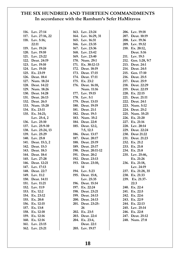| 116. Lev. 27:14     | 163. Lev. 23:24     | 206. Lev. 19:18     |
|---------------------|---------------------|---------------------|
| 117. Lev. 27:16, 22 | 164. Lev. 16:29, 31 | 207. Deut. 10:19    |
| 118. Lev. 5:16;     | 165. Lev. 16:31     | 208. Lev. 19:36     |
| 22:11               | 166. Lev. 23:35     | 209. Lev. 19:32     |
| 119. Lev. 19:24     | 167. Lev. 23:36     | 210. Ex. 20:12,     |
| 120. Lev. 19:10     | 168. Lev. 23:42     | Deut. 5:16          |
| 121. Lev. 23:22     | 169. Lev. 23:40     | 211. Lev. 19:3      |
| 122. Deut. 24:19    | 170. Num. 29:1      | 212. Gen. 1:28, 9:7 |
| 123. Lev. 19:10     | 171. Ex. 30:12-13   | 213. Deut. 24:1     |
| 124. Lev. 19:10     | 172. Deut. 18:19    | 214. Deut. 24:5     |
| 125. Ex. 23:19      | 173. Deut. 17:15    | 215. Gen. 17:10     |
| 126. Deut. 18:4     | 174. Deut. 17:11    | 216. Deut. 25:5     |
| 127. Num. 18:24     | 175. Ex. 23:2       | 217. Deut. 25:9     |
| 128. Deut. 14:22    | 176. Deut. 16:18,   | 218. Deut. 22:29    |
| 129. Num. 18:26     | Num. 11:16          | 219. Deut. 22:19    |
| 130. Deut. 14:28    | 177. Lev. 19:15     | 220. Ex. 22:15      |
| 131. Deut. 26:13    | 178. Lev. 5:1       | 221. Deut. 21:11    |
| 132. Deut. 26:5     | 179. Deut. 13:15    | 222. Deut. 24:1     |
| 133. Num. 15:20     | 180. Deut. 19:19    | 223. Num. 5:12      |
| 134. Ex. 23:11      | 181. Deut. 21:1     | 224. Deut. 25:2     |
| 135. Ex. 34:21;     | 182. Deut. 19:3     | 225. Num. 35:25     |
| Lev. 25:4, 2        | 183. Num. 35:2      | 226. Ex. 21:20      |
| 136. Lev. 25:10     | 184. Deut. 22:8     | 227. Ex. 21:16      |
| 137. Lev. 25:9-10   | 185. Deut. 12:2,    | 228. Lev. 20:14     |
| 138. Lev. 25:24, 13 | 7:5, 12:3           | 229. Deut. 22:24    |
| 139. Lev. 25:29     | 186. Deut. 13:17    | 230. Deut 21:22     |
| 140. Lev. 25:8      | 187. Deut. 20:17    | 231. Deut. 21:23    |
| 141. Deut. 15:3, 2  | 188. Deut. 25:19    | 232. Ex. 21:2       |
| 142. Deut. 15:3     | 189. Deut. 25:17    | 233. Ex. 21:8       |
| 143. Deut. 18:3     | 190. Deut. 20:11-12 | 234. Ex. 21:8       |
| 144. Deut. 18:4     | 191. Deut. 20:2     | 235. Lev. 25:46,    |
| 145. Lev. 27:28     | 192. Deut. 23:13    | Ex. 21:26           |
| 146. Deut. 12:21    | 193. Deut. 23:10,   | 236. Ex. 21:18,     |
| 147. Lev. 17:13     | 14                  | Lev. 24:19          |
| 148. Deut. 22:7     | 194. Lev. 5:23      | 237. Ex. 21:28, 35  |
| 149. Lev. 11:2      | 195. Deut. 15:8,    | 238. Ex. 21:33      |
| 150. Deut. 14:11    | Lev. 25:35          | 239. Ex. 21:37-     |
| 151. Lev. 11:21     | 196. Deut. 15:14    | 22:3                |
| 152. Lev. 11:9      | 197. Ex. 22:24      | 240. Ex. 22:4       |
| 153. Ex. 12:2       | 198. Deut. 23:21    | 241. Ex. 22:5       |
| 154. Ex. 23:12      | 199. Deut. 24:13    | 242. Ex. 22:6       |
| 155. Ex. 20:8       | 200. Deut. 24:13    | 243. Ex. 22:9       |
| 156. Ex. 12:15      | 201. Deut. 23:25-   | 244. Ex. 22:13      |
| 157. Ex. 13:8       | 26                  | 245. Lev. 25:14     |
| 158. Ex. 12:18      | 202. Ex. 23:5       | 246. Ex. 22:8       |
| 159. Ex. 12:16      | 203. Deut. 22:4     | 247. Deut. 25:12    |
| 160. Ex. 12:16      | 204. Ex. 23:4,      | 248. Num. 27:8      |
| 161. Lev. 23:15     | Deut. 22:1          |                     |
| 162. Lev. 23:21     | 205. Lev. 19:17     |                     |
|                     |                     |                     |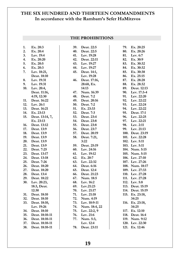#### **THE PROHIBITIONS**

| 1.  | Ex. 20:3        | 39. | Deut. 22:5    | 79.  | Ex. 20:25        |
|-----|-----------------|-----|---------------|------|------------------|
| 2.  | Ex. 20:4        | 40. | Deut. 22:5    | 80.  | Ex. 20:26        |
| 3.  | Lev. 19:4       | 41. | Lev. 19:28    | 81.  | Lev. 6:7         |
| 4.  | Ex. 20:20       | 42. | Deut. 22:11   | 82.  | Ex. 30:9         |
| 5.  | Ex. 20:5        | 43. | Lev. 19:27    | 83.  | Ex. 30:32        |
| 6.  | Ex. 20:3        | 44. | Lev. 19:27    | 84.  | Ex. 30:32        |
| 7.  | Lev. 18:21,     | 45. | Deut. 14:1,   | 85.  | Ex. 30:38        |
|     | Deut. 18:10     |     | Lev. 19:28    | 86.  | Ex. 25:15        |
| 8.  | Lev. 19:31      | 46. | Deut. 17:16,  | 87.  | Ex. 28:28        |
| 9.  | Lev. 19:31      |     | 28:68, Ex.    | 88.  | Ex. 28:32        |
| 10. | Lev. 20:4,      |     | 14:13         | 89.  | Deut. 12:13      |
|     | Deut. 11:16,    | 47. | Num. 16:39    | 90.  | Lev. 17:3-4      |
|     | 4:19, 12:30     | 48. | Deut. 7:2     | 91.  | Lev. 22:20       |
| 11. | Deut. 16:22     | 49. | Deut. 20:16   | 92.  | Lev. 22:22       |
| 12. | Lev. 26:1       | 50. | Deut. 7:2     | 93.  | Lev. 22:24       |
| 13. | Deut. 16:21     | 51. | Ex. 23:33     | 94.  | Lev. 22:22       |
| 14. | Ex. 23:13       | 52. | Deut. 7:3     | 95.  | Deut. 17:1       |
| 15. | Deut. 13:14, 7, | 53. | Deut. 23:4    | 96.  | Lev. 22:25       |
|     | Ex. 23:13       | 54. | Deut. 23:8    | 97.  | Lev. 22:21       |
| 16. | Deut. 13:12     | 55. | Deut. 23:8    | 98.  | Lev. 2:11        |
| 17. | Deut. 13:9      | 56. | Deut. 23:7    | 99.  | Lev. 21:13       |
| 18. | Deut. 13:9      | 57. | Deut. 20:19   |      | 100. Deut. 23:19 |
| 19. | Deut. 13:9      | 58. | Deut. 7:21,   |      | 101. Lev. 22:28  |
| 20. | Deut. 13:9      |     | 3:22          |      | 102. Lev. 5:11   |
| 21. | Deut. 13:9      | 59. | Deut. 25:19   |      | 103. Lev. 5:11   |
| 22. | Deut. 7:25      | 60. | Lev. 24:16    |      | 104. Num. 5:15   |
| 23. | Deut. 13:17     | 61. | Lev. 19:12    |      | 105. Num. 5:15   |
| 24. | Deut. 13:18     | 62. | Ex. 20:7      |      | 106. Lev. 27:10  |
| 25. | Deut. 7:26      | 63. | Lev. 22:32    |      | 107. Lev. 27:26  |
| 26. | Deut. 18:20     | 64. | Deut. 6:16    |      | 108. Num. 18:17  |
| 27. | Deut. 18:20     | 65. | Deut. 12:4    |      | 109. Lev. 27:33  |
| 28. | Deut. 13:4      | 66. | Deut. 21:23   |      | 110. Lev. 27:28  |
| 29. | Deut. 18:22     | 67. | Num. 18:5     |      | 111. Lev. 27:28  |
| 30. | Lev. 20:23,     | 68. | Lev. 16:2     | 112. | Lev. 5:8         |
|     | 18:3, Deut.     | 69. | Lev.21:23     | 113. | Deut. 15:19      |
|     | 12:30           | 70. | Lev. 21:17    |      | 114. Deut. 15:19 |
| 31. | Deut. 18:10     | 71. | Lev. 21:18    |      | 115. Ex. 23:18,  |
| 32. | Deut. 18:10     | 72. | Num. 4:19     |      | 34:25            |
| 33. | Deut. 18:10,    | 73. | Lev. 10:9-11  | 116. | Ex. 23:18,       |
|     | Lev. 19:26      | 74. | Num. 18:4, 22 |      | 34:25            |
| 34. | Deut. 18:10     | 75. | Lev. 22:2, 9  | 117. | Ex. 12:10        |
| 35. | Deut. 18:10-11  | 76. | Lev. 21:6     | 118. | Deut. 16:4       |
| 36. | Deut. 18:10-11  | 77. | Num. 5:3,     |      | 119. Num. 9:12   |
| 37. | Deut. 18:10-11  |     | Lev. 12:4     |      | 120. Lev. 22:30  |
| 38. | Deut. 18:10-11  | 78. | Deut. 23:11   |      | 121. Ex. 12:46   |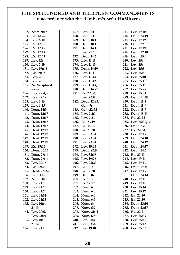| 122. Num. 9:12     | 167. Lev. 21:11   | 213             |
|--------------------|-------------------|-----------------|
| 123. Ex. 12:46     | 168. Lev. 21:11   | 214             |
| 124. Lev. 6:10     | 169. Deut. 18:1   | 215             |
| 125. Ex. 12:9      | 170. Deut. 18:1   | 216             |
| 126. Ex. 12:45     | 171. Deut. 14:1,  | 217             |
| 127. Ex. 12:48     | Lev. 21:5         | 218             |
| 128. Ex. 12:43     | 172. Deut. 14:7   | 219             |
| 129. Lev. 12:4     | 173. Lev. 11:11   | 220             |
| 130. Lev. 7:19     | 174. Lev. 11:13   | 221             |
| 131. Lev. 19:6-8   | 175. Deut. 14:19  | 222             |
| 132. Ex. 29:33     | 176. Lev. 11:41   | 223             |
| 133. Lev. 22:10    | 177. Lev. 11:44   | 224             |
| 134. Lev. 22:10    | 178. Lev. 11:42   | 225             |
| 135. No Scriptural | 179. Lev. 11:43,  | 22 <sub>0</sub> |
| source             | 180. Deut. 14:21  | 227             |
| 136. Lev. 22:4, 9  | 181. Ex. 22:30,   | 228             |
| 137. Lev. 22:12    | Lev. 22:8         | 229             |
| 138. Lev. 6:16     | 182. Deut. 12:23, | 230             |
| 139. Lev. 6:23     | Gen. 9:4          | 231             |
| 140. Deut. 14:3    | 183. Gen. 32:32   | 232             |
| 141. Deut. 12:17   | 184. Lev. 7:26    | 233             |
| 142. Deut. 12:17   | 185. Lev. 7:23    | 234             |
| 143. Deut. 12:17   | 186. Ex. 23:19    | 235             |
| 144. Deut. 12:17   | 187. Ex. 34:26    | 236             |
| 145. Deut. 12:17   | 188. Ex. 21:28    | 237             |
| 146. Deut. 12:17   | 189. Lev. 23:14   | 238             |
| 147. Deut. 12:17   | 190. Lev. 23:14   | 239             |
| 148. Deut. 12:17   | 191. Lev. 23:14   | 240             |
| 149. Ex. 29:23     | 192. Lev. 19:23   | 241             |
| 150. Deut. 26:14   | 193. Deut. 22:9   | 242             |
| 151. Deut. 26:14   | 194. Lev. 32:38   | 243             |
| 152. Deut. 26:14   | 195. Lev. 19:26   | 244             |
| 153. Lev. 22:15    | 196. Lev. 23:29   | 245             |
| 154. Ex. 22:28     | 197. Ex. 13:3     | 240             |
| 155. Deut. 23:22   | 198. Ex. 12:20    | 247             |
| 156. Ex. 23:15     | 199. Deut. 16:3   |                 |
| 157. Num. 30:3     | 200. Ex. 13:7     | 248             |
| 158. Lev. 21:7     | 201. Ex. 12:19    | 249             |
| 159. Lev. 21:7     | 202. Num. 6:3     | 250             |
| 160. Lev. 21:7     | 203. Num. 6:3     | 251             |
| 161. Lev. 21:14    | 204. Num. 6:3     | 252             |
| 162. Lev. 21:15    | 205. Num. 6:3     | 253             |
| 163. Lev. 10:6,    | 206. Num. 6:4     | 254             |
| 21:10              | 207. Num. 6:7     | 255             |
| 164. Lev. 20:6,    | 208. Num. 21:11   | 256             |
| Lev. 21:10         | 209. Num. 6:5     | 257             |
| 165. Lev. 10:7,    | 210. Lev. 23:22   | 258             |
| 21:12              | 211. Lev. 23:22   | 259             |
| 166. Lev. 21:1     | 212. Lev. 19:10   | 260             |

| 213. | Lev. 19:10       |
|------|------------------|
| 214. | Deut. 24:19      |
| 215. | Lev. 19:19       |
| 216. | Deut. 22:9       |
|      | 217. Lev. 19:19  |
| 218. | Deut. 22:10      |
| 219. | Deut. 25:4       |
|      |                  |
| 220. | Lev. 25:4        |
| 221. | Lev. 25:4        |
|      | 222. Lev. 25:5   |
| 223. | Lev. 25:5        |
| 224. | Lev. 25:10       |
|      | 225. Lev. 25:11  |
| 226. | Lev. 25:11       |
| 227. | Lev. 25:27       |
| 228. | Lev. 25:34       |
|      | 229. Deut. 12:19 |
|      | 230. Deut. 15:2  |
| 231. | Deut. 15:9       |
| 232. | Deut. 15:7       |
|      | 233. Deut. 15:13 |
| 234. | Ex. 22:24        |
| 235. | Lev. 25:37, 36   |
| 236. | Deut. 23:20      |
|      | 237. Ex. 22:24   |
|      | 238. Lev. 19:13  |
| 239. | Deut. 24:10      |
| 240. | Deut. 24:12      |
|      | 241. Deut. 24:17 |
| 242. | Deut. 24:6       |
| 243. | Ex. 20:13        |
|      | 244. Lev. 19:11  |
|      | 245. Lev. 19:13  |
| 246. | Deut. 19:14      |
| 247. | Lev. 19:13,      |
|      | Deut. 24:14      |
|      | Lev. 19:11       |
| 248. |                  |
| 249. | Lev. 19:11       |
| 250  | Lev. 25:14       |
| 251. | Lev. 25:17       |
| 252. | Ex. 22:20        |
| 253. | Ex. 22:20        |
| 254. | Deut. 23:16      |
| 255. | Deut. 23:17      |
| 256. | Ex. 22:21        |
|      | 257. Lev. 25:39  |
| 258. | Lev. 25:42       |
| 259. | Lev. 25:43       |
|      | 260. Lev. 25:53  |